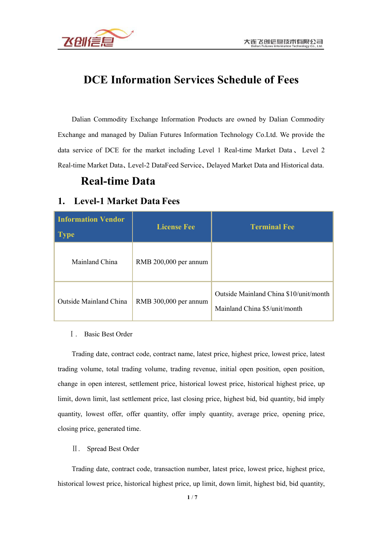

# **DCE Information Services Schedule of Fees**

Dalian Commodity Exchange Information Products are owned by Dalian Commodity Exchange and managed by Dalian Futures Information Technology Co.Ltd. We provide the data service of DCE for the market including Level 1 Real-time Market Data, Level 2 Real-time Market Data、Level-2 DataFeed Service、Delayed Market Data and Historical data.

## **Real-time Data**

### **1. Level-1 Market Data Fees**

| <b>Information Vendor</b><br><b>Type</b> | <b>License Fee</b>    | <b>Terminal Fee</b>                                                     |
|------------------------------------------|-----------------------|-------------------------------------------------------------------------|
| Mainland China                           | RMB 200,000 per annum |                                                                         |
| <b>Outside Mainland China</b>            | RMB 300,000 per annum | Outside Mainland China \$10/unit/month<br>Mainland China \$5/unit/month |

#### Ⅰ. Basic Best Order

Trading date, contract code, contract name, latest price, highest price, lowest price, latest trading volume, total trading volume, trading revenue, initial open position, open position, change in open interest, settlement price, historical lowest price, historical highest price, up limit, down limit, last settlement price, last closing price, highest bid, bid quantity, bid imply quantity, lowest offer, offer quantity, offer imply quantity, average price, opening price, closing price, generated time.

#### Ⅱ. Spread Best Order

Trading date, contract code, transaction number, latest price, lowest price, highest price, historical lowest price, historical highest price, up limit, down limit, highest bid, bid quantity,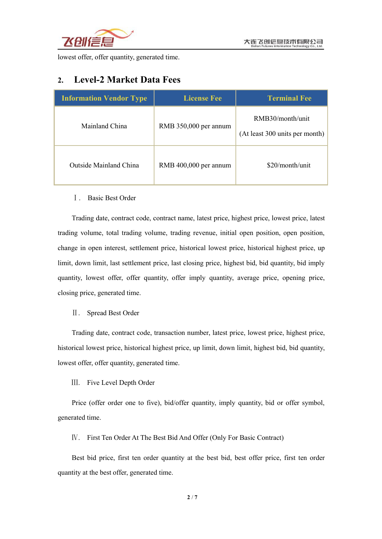

lowest offer, offer quantity, generated time.

## **2. Level-2 Market Data Fees**

| <b>Information Vendor Type</b> | <b>License Fee</b>    | <b>Terminal Fee</b>                                |
|--------------------------------|-----------------------|----------------------------------------------------|
| Mainland China                 | RMB 350,000 per annum | RMB30/month/unit<br>(At least 300 units per month) |
| Outside Mainland China         | RMB 400,000 per annum | $$20/m$ onth/unit                                  |

#### Ⅰ. Basic Best Order

Trading date, contract code, contract name, latest price, highest price, lowest price, latest trading volume, total trading volume, trading revenue, initial open position, open position, change in open interest, settlement price, historical lowest price, historical highest price, up limit, down limit, last settlement price, last closing price, highest bid, bid quantity, bid imply quantity, lowest offer, offer quantity, offer imply quantity, average price, opening price, closing price, generated time.

#### Ⅱ. Spread Best Order

Trading date, contract code, transaction number, latest price, lowest price, highest price, historical lowest price, historical highest price, up limit, down limit, highest bid, bid quantity, lowest offer, offer quantity, generated time.

Ⅲ. Five Level Depth Order

Price (offer order one to five), bid/offer quantity, imply quantity, bid or offer symbol, generated time.

Ⅳ. First Ten Order At The Best Bid And Offer (Only For Basic Contract)

Best bid price, first ten order quantity at the best bid, best offer price, first ten order quantity at the best offer, generated time.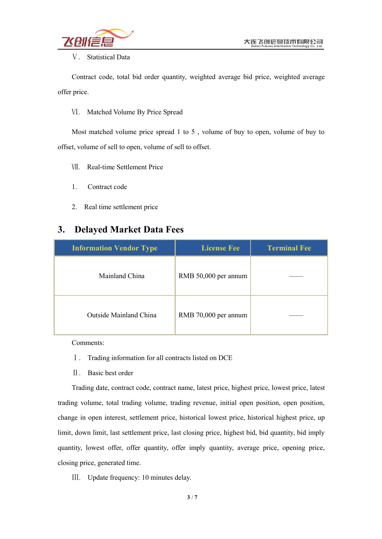#### Ⅴ. Statistical Data

Contract code, total bid order quantity, weighted average bid price, weighted average offer price.

Ⅵ. Matched Volume By Price Spread

Most matched volume price spread 1 to 5 , volume of buy to open, volume of buy to offset, volume of sell to open, volume of sell to offset.

Ⅶ. Real-time Settlement Price

- 1. Contract code
- 2. Real time settlement price

## **3. Delayed Market Data Fees**

| <b>Information Vendor Type</b> | <b>License Fee</b>   | <b>Terminal Fee</b> |
|--------------------------------|----------------------|---------------------|
| Mainland China                 | RMB 50,000 per annum |                     |
| <b>Outside Mainland China</b>  | RMB 70,000 per annum |                     |

Comments:

- Ⅰ. Trading information for all contracts listed on DCE
- Ⅱ. Basic best order

Trading date, contract code, contract name, latest price, highest price, lowest price, latest trading volume, total trading volume, trading revenue, initial open position, open position, change in open interest, settlement price, historical lowest price, historical highest price, up limit, down limit, last settlement price, last closing price, highest bid, bid quantity, bid imply quantity, lowest offer, offer quantity, offer imply quantity, average price, opening price, closing price, generated time.

Ⅲ. Update frequency: 10 minutes delay.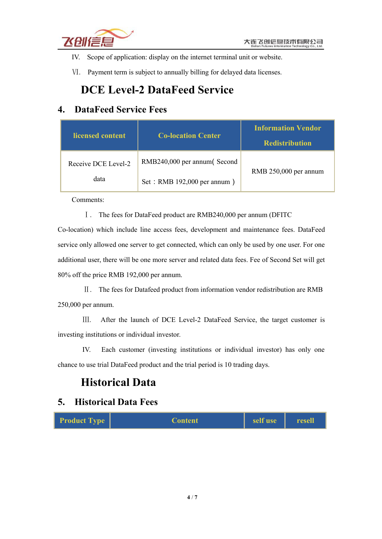

- IV. Scope of application: display on the internet terminal unit or website.
- Ⅵ. Payment term is subject to annually billing for delayed data licenses.

# **DCE Level-2 DataFeed Service**

## **4. DataFeed Service Fees**

| licensed content    | <b>Co-location Center</b>   | <b>Information Vendor</b><br><b>Redistribution</b> |
|---------------------|-----------------------------|----------------------------------------------------|
| Receive DCE Level-2 | RMB240,000 per annum(Second | RMB 250,000 per annum                              |
| data                | Set: RMB 192,000 per annum) |                                                    |

Comments:

Ⅰ. The fees for DataFeed product are RMB240,000 per annum (DFITC

Co-location) which include line access fees, development and maintenance fees. DataFeed service only allowed one server to get connected, which can only be used by one user. For one additional user, there will be one more server and related data fees. Fee of Second Set will get 80% off the price RMB 192,000 per annum.

Ⅱ. The fees for Datafeed product from information vendor redistribution are RMB 250,000 per annum.

Ⅲ. After the launch of DCE Level-2 DataFeed Service, the target customer is investing institutions or individual investor.

IV. Each customer (investing institutions or individual investor) has only one chance to use trial DataFeed product and the trial period is 10 trading days.

# **Historical Data**

### **5. Historical Data Fees**

| <b>Product Type</b> | <b>Content</b> | self use | resell |  |
|---------------------|----------------|----------|--------|--|
|---------------------|----------------|----------|--------|--|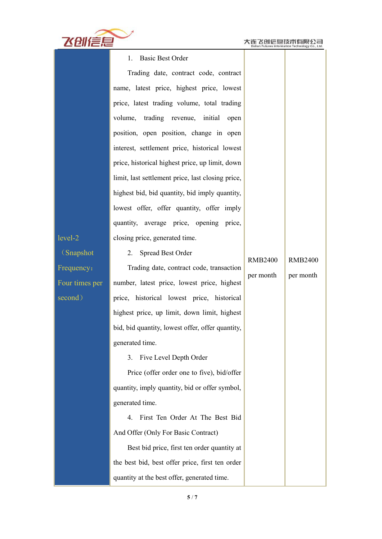RMB2400 RMB2400

per month

per month



| 1. Basic Best Order |
|---------------------|
|---------------------|

level-2 closing price, generated time. Trading date, contract code, contract name, latest price, highest price, lowest price, latest trading volume, total trading volume, trading revenue, initial open position, open position, change in open interest, settlement price, historical lowest price, historical highest price, up limit, down limit, last settlement price, last closing price, highest bid, bid quantity, bid imply quantity, lowest offer, offer quantity, offer imply quantity, average price, opening price,

(Snapshot Four times per

Frequency: Trading date, contract code, transaction second) price, historical lowest price, historical number, latest price, lowest price, highest highest price, up limit, down limit, highest bid, bid quantity, lowest offer, offer quantity, generated time.

2. Spread Best Order

3. Five Level Depth Order

Price (offer order one to five), bid/offer quantity, imply quantity, bid or offer symbol, generated time.

4. First Ten Order At The Best Bid And Offer (Only For Basic Contract)

Best bid price, first ten order quantity at the best bid, best offer price, first ten order quantity at the bestoffer, generated time.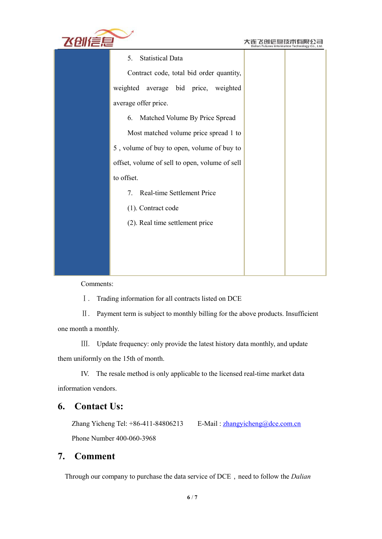

|                                                                     | Dalian Futures information rechnology Co., Ltd. |
|---------------------------------------------------------------------|-------------------------------------------------|
| <b>Statistical Data</b><br>5.                                       |                                                 |
| Contract code, total bid order quantity,                            |                                                 |
| weighted average bid price, weighted                                |                                                 |
| average offer price.                                                |                                                 |
| Matched Volume By Price Spread<br>6.                                |                                                 |
| Most matched volume price spread 1 to                               |                                                 |
| 5, volume of buy to open, volume of buy to                          |                                                 |
| offset, volume of sell to open, volume of sell                      |                                                 |
| to offset.                                                          |                                                 |
| Real-time Settlement Price<br>$7_{\scriptscriptstyle{\ddot{\sim}}}$ |                                                 |
| (1). Contract code                                                  |                                                 |
| (2). Real time settlement price                                     |                                                 |
|                                                                     |                                                 |
|                                                                     |                                                 |
|                                                                     |                                                 |

Comments:

Ⅰ. Trading information for all contracts listed on DCE

Ⅱ. Payment term is subject to monthly billing for the above products. Insufficient one month a monthly.

Ⅲ. Update frequency: only provide the latest history data monthly, and update them uniformly on the 15th of month.

IV. The resale method is only applicable to the licensed real-time market data information vendors.

## **6. Contact Us:**

Zhang Yicheng Tel:  $+86-411-84806213$  E-Mail: [zhangyicheng@dce.com.cn](mailto:zhangyicheng@dce.com.cn) Phone Number 400-060-3968

### **7. Comment**

Through our company to purchase the data service of DCE, need to follow the *Dalian*